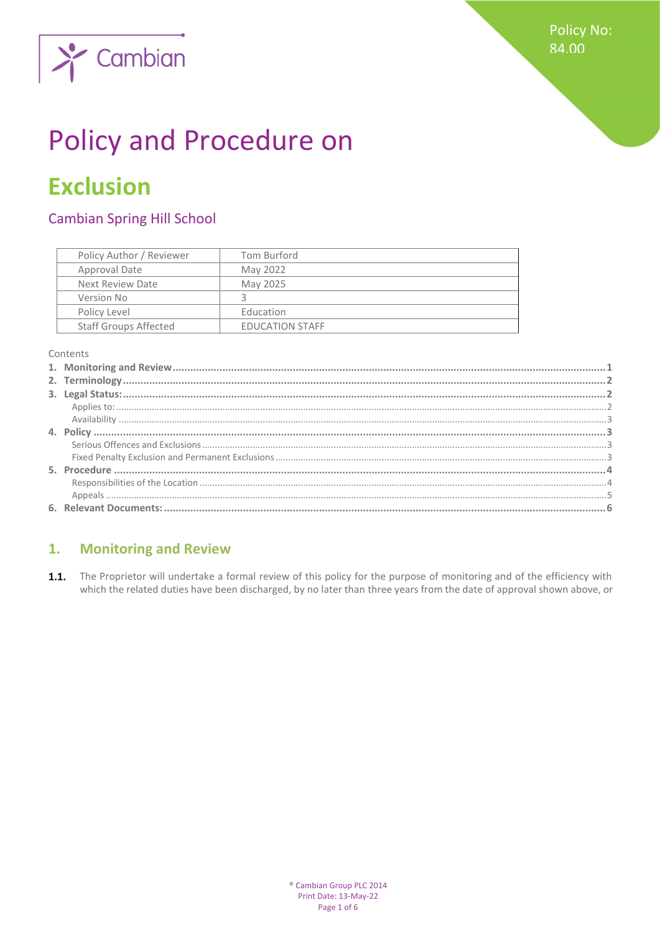

# **Policy and Procedure on**

## **Exclusion**

### **Cambian Spring Hill School**

| Policy Author / Reviewer     | Tom Burford            |
|------------------------------|------------------------|
| Approval Date                | May 2022               |
| Next Review Date             | May 2025               |
| Version No                   |                        |
| Policy Level                 | Education              |
| <b>Staff Groups Affected</b> | <b>EDUCATION STAFF</b> |

Contents

#### <span id="page-0-0"></span>**Monitoring and Review**  $1.$

1.1. The Proprietor will undertake a formal review of this policy for the purpose of monitoring and of the efficiency with which the related duties have been discharged, by no later than three years from the date of approval shown above, or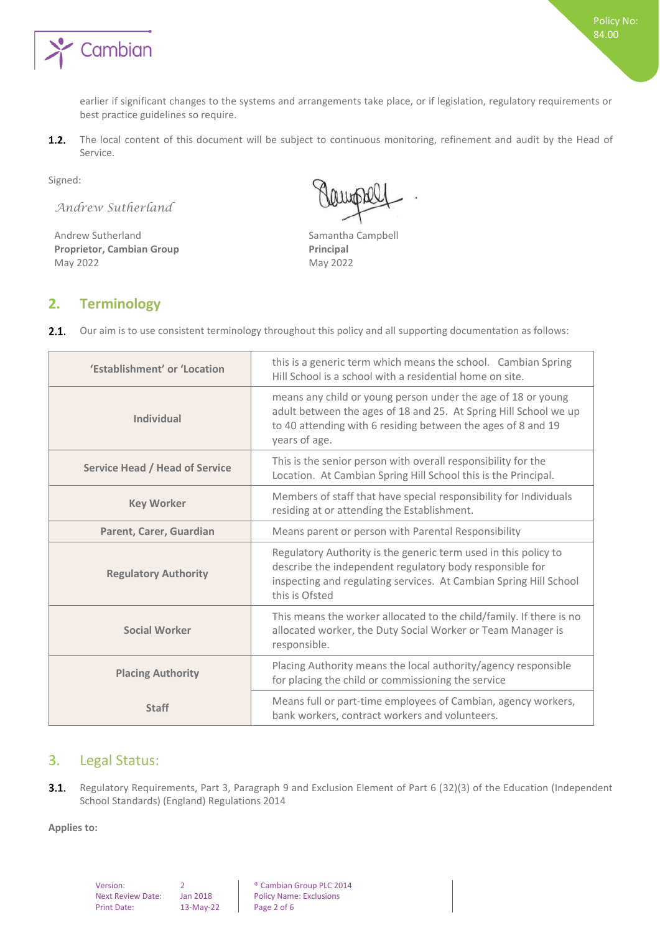

earlier if significant changes to the systems and arrangements take place, or if legislation, regulatory requirements or best practice guidelines so require.

The local content of this document will be subject to continuous monitoring, refinement and audit by the Head of  $1.2.$ Service.

Signed:

*Andrew Sutherland*

Andrew Sutherland Samantha Campbell **Proprietor, Cambian Group Principal** May 2022 May 2022

#### <span id="page-1-0"></span>**2. Terminology**

| 'Establishment' or 'Location          | this is a generic term which means the school. Cambian Spring<br>Hill School is a school with a residential home on site.                                                                                          |  |
|---------------------------------------|--------------------------------------------------------------------------------------------------------------------------------------------------------------------------------------------------------------------|--|
| Individual                            | means any child or young person under the age of 18 or young<br>adult between the ages of 18 and 25. At Spring Hill School we up<br>to 40 attending with 6 residing between the ages of 8 and 19<br>years of age.  |  |
| <b>Service Head / Head of Service</b> | This is the senior person with overall responsibility for the<br>Location. At Cambian Spring Hill School this is the Principal.                                                                                    |  |
| <b>Key Worker</b>                     | Members of staff that have special responsibility for Individuals<br>residing at or attending the Establishment.                                                                                                   |  |
| Parent, Carer, Guardian               | Means parent or person with Parental Responsibility                                                                                                                                                                |  |
| <b>Regulatory Authority</b>           | Regulatory Authority is the generic term used in this policy to<br>describe the independent regulatory body responsible for<br>inspecting and regulating services. At Cambian Spring Hill School<br>this is Ofsted |  |
| <b>Social Worker</b>                  | This means the worker allocated to the child/family. If there is no<br>allocated worker, the Duty Social Worker or Team Manager is<br>responsible.                                                                 |  |
| <b>Placing Authority</b>              | Placing Authority means the local authority/agency responsible<br>for placing the child or commissioning the service                                                                                               |  |
| <b>Staff</b>                          | Means full or part-time employees of Cambian, agency workers,<br>bank workers, contract workers and volunteers.                                                                                                    |  |

#### <span id="page-1-1"></span>3. Legal Status:

 $3.1.$ Regulatory Requirements, Part 3, Paragraph 9 and Exclusion Element of Part 6 (32)(3) of the Education (Independent School Standards) (England) Regulations 2014

<span id="page-1-2"></span>**Applies to:**

| Version:                 |           | <sup>®</sup> Cambian Group PLC 2014 |
|--------------------------|-----------|-------------------------------------|
| <b>Next Review Date:</b> | Jan 2018  | <b>Policy Name: Exclusions</b>      |
| <b>Print Date:</b>       | 13-May-22 | Page 2 of 6                         |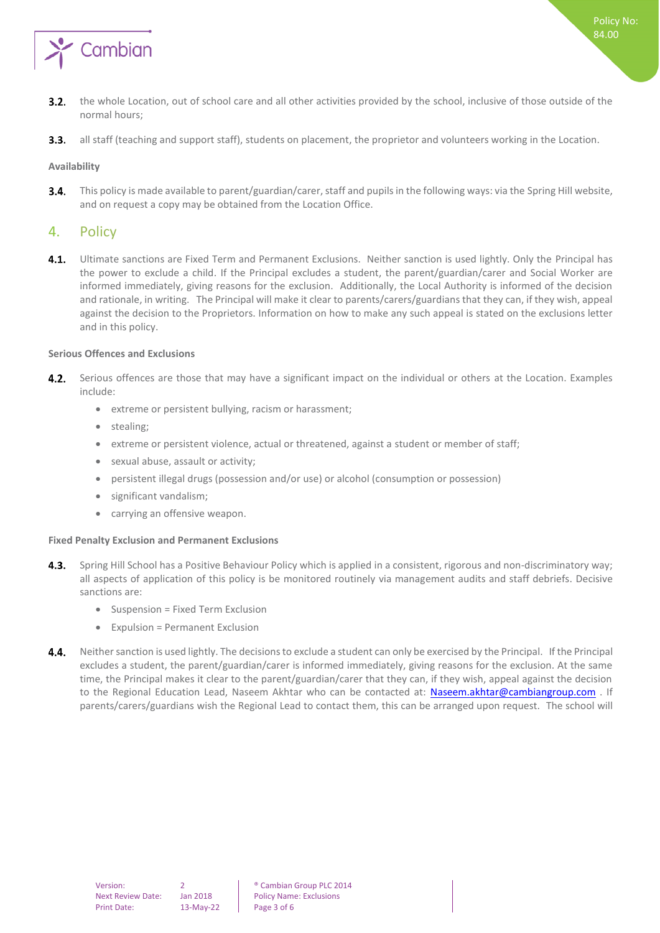

<span id="page-2-0"></span> $3.3.$ all staff (teaching and support staff), students on placement, the proprietor and volunteers working in the Location.

#### **Availability**

This policy is made available to parent/guardian/carer, staff and pupils in the following ways: via the Spring Hill website,  $3.4.$ and on request a copy may be obtained from the Location Office.

#### <span id="page-2-1"></span>4. Policy

 $4.1.$ Ultimate sanctions are Fixed Term and Permanent Exclusions. Neither sanction is used lightly. Only the Principal has the power to exclude a child. If the Principal excludes a student, the parent/guardian/carer and Social Worker are informed immediately, giving reasons for the exclusion. Additionally, the Local Authority is informed of the decision and rationale, in writing. The Principal will make it clear to parents/carers/guardians that they can, if they wish, appeal against the decision to the Proprietors. Information on how to make any such appeal is stated on the exclusions letter and in this policy.

#### <span id="page-2-2"></span>**Serious Offences and Exclusions**

- 4.2. Serious offences are those that may have a significant impact on the individual or others at the Location. Examples include:
	- extreme or persistent bullying, racism or harassment;
	- stealing;
	- extreme or persistent violence, actual or threatened, against a student or member of staff;
	- sexual abuse, assault or activity;
	- persistent illegal drugs (possession and/or use) or alcohol (consumption or possession)
	- significant vandalism;
	- carrying an offensive weapon.

#### <span id="page-2-3"></span>**Fixed Penalty Exclusion and Permanent Exclusions**

- $4.3.$ Spring Hill School has a Positive Behaviour Policy which is applied in a consistent, rigorous and non-discriminatory way; all aspects of application of this policy is be monitored routinely via management audits and staff debriefs. Decisive sanctions are:
	- Suspension = Fixed Term Exclusion
	- Expulsion = Permanent Exclusion
- $4.4.$ Neither sanction is used lightly. The decisions to exclude a student can only be exercised by the Principal. If the Principal excludes a student, the parent/guardian/carer is informed immediately, giving reasons for the exclusion. At the same time, the Principal makes it clear to the parent/guardian/carer that they can, if they wish, appeal against the decision to the Regional Education Lead, Naseem Akhtar who can be contacted at: [Naseem.akhtar@cambiangroup.com](mailto:Naseem.akhtar@cambiangroup.com). If parents/carers/guardians wish the Regional Lead to contact them, this can be arranged upon request. The school will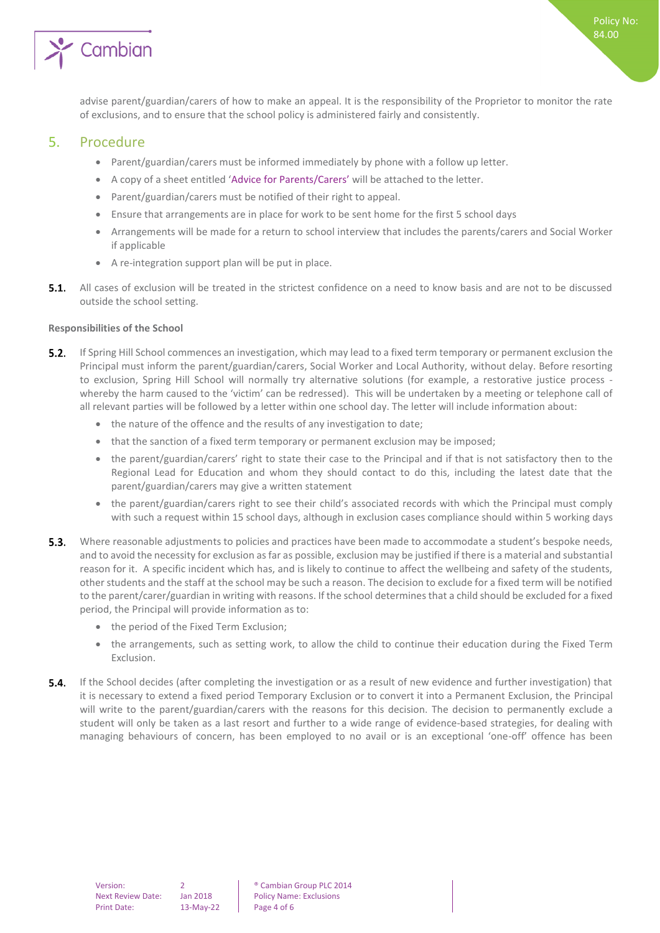

<span id="page-3-0"></span>advise parent/guardian/carers of how to make an appeal. It is the responsibility of the Proprietor to monitor the rate of exclusions, and to ensure that the school policy is administered fairly and consistently.

#### 5. Procedure

- Parent/guardian/carers must be informed immediately by phone with a follow up letter.
- A copy of a sheet entitled 'Advice for Parents/Carers' will be attached to the letter.
- Parent/guardian/carers must be notified of their right to appeal.
- Ensure that arrangements are in place for work to be sent home for the first 5 school days
- Arrangements will be made for a return to school interview that includes the parents/carers and Social Worker if applicable
- A re-integration support plan will be put in place.
- $5.1.$ All cases of exclusion will be treated in the strictest confidence on a need to know basis and are not to be discussed outside the school setting.

#### <span id="page-3-1"></span>**Responsibilities of the School**

- $5.2.$ If Spring Hill School commences an investigation, which may lead to a fixed term temporary or permanent exclusion the Principal must inform the parent/guardian/carers, Social Worker and Local Authority, without delay. Before resorting to exclusion, Spring Hill School will normally try alternative solutions (for example, a restorative justice process whereby the harm caused to the 'victim' can be redressed). This will be undertaken by a meeting or telephone call of all relevant parties will be followed by a letter within one school day. The letter will include information about:
	- the nature of the offence and the results of any investigation to date;
	- that the sanction of a fixed term temporary or permanent exclusion may be imposed;
	- the parent/guardian/carers' right to state their case to the Principal and if that is not satisfactory then to the Regional Lead for Education and whom they should contact to do this, including the latest date that the parent/guardian/carers may give a written statement
	- the parent/guardian/carers right to see their child's associated records with which the Principal must comply with such a request within 15 school days, although in exclusion cases compliance should within 5 working days
- **5.3.** Where reasonable adjustments to policies and practices have been made to accommodate a student's bespoke needs, and to avoid the necessity for exclusion as far as possible, exclusion may be justified if there is a material and substantial reason for it. A specific incident which has, and is likely to continue to affect the wellbeing and safety of the students, other students and the staff at the school may be such a reason. The decision to exclude for a fixed term will be notified to the parent/carer/guardian in writing with reasons. If the school determines that a child should be excluded for a fixed period, the Principal will provide information as to:
	- the period of the Fixed Term Exclusion;
	- the arrangements, such as setting work, to allow the child to continue their education during the Fixed Term Exclusion.
- $5.4.$ If the School decides (after completing the investigation or as a result of new evidence and further investigation) that it is necessary to extend a fixed period Temporary Exclusion or to convert it into a Permanent Exclusion, the Principal will write to the parent/guardian/carers with the reasons for this decision. The decision to permanently exclude a student will only be taken as a last resort and further to a wide range of evidence-based strategies, for dealing with managing behaviours of concern, has been employed to no avail or is an exceptional 'one-off' offence has been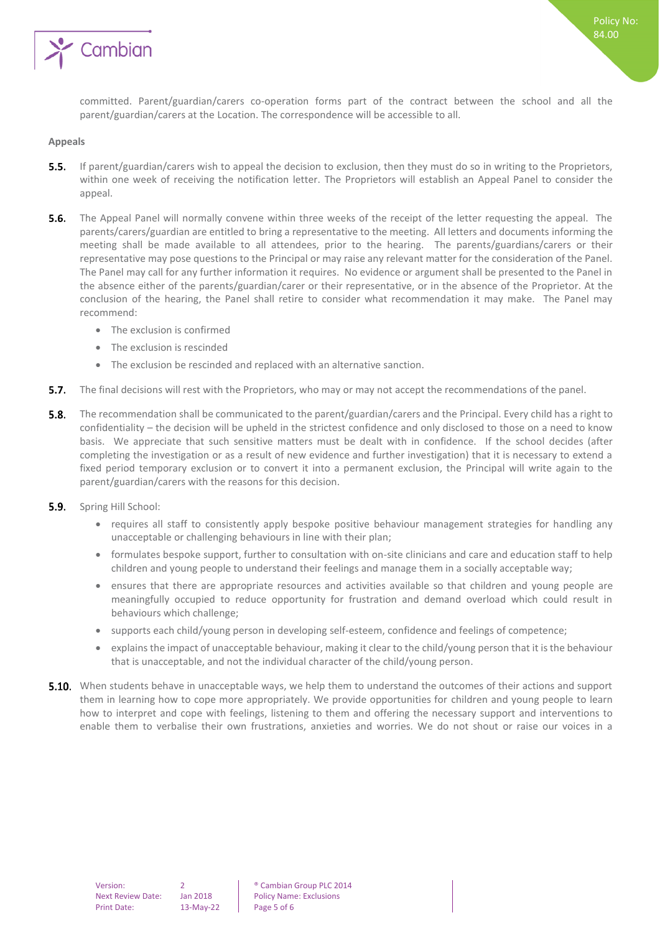

committed. Parent/guardian/carers co-operation forms part of the contract between the school and all the parent/guardian/carers at the Location. The correspondence will be accessible to all.

#### <span id="page-4-0"></span>**Appeals**

- **5.5.** If parent/guardian/carers wish to appeal the decision to exclusion, then they must do so in writing to the Proprietors, within one week of receiving the notification letter. The Proprietors will establish an Appeal Panel to consider the appeal.
- **5.6.** The Appeal Panel will normally convene within three weeks of the receipt of the letter requesting the appeal. The parents/carers/guardian are entitled to bring a representative to the meeting. All letters and documents informing the meeting shall be made available to all attendees, prior to the hearing. The parents/guardians/carers or their representative may pose questions to the Principal or may raise any relevant matter for the consideration of the Panel. The Panel may call for any further information it requires. No evidence or argument shall be presented to the Panel in the absence either of the parents/guardian/carer or their representative, or in the absence of the Proprietor. At the conclusion of the hearing, the Panel shall retire to consider what recommendation it may make. The Panel may recommend:
	- The exclusion is confirmed
	- The exclusion is rescinded
	- The exclusion be rescinded and replaced with an alternative sanction.
- **5.7.** The final decisions will rest with the Proprietors, who may or may not accept the recommendations of the panel.
- $5.8.$ The recommendation shall be communicated to the parent/guardian/carers and the Principal. Every child has a right to confidentiality – the decision will be upheld in the strictest confidence and only disclosed to those on a need to know basis. We appreciate that such sensitive matters must be dealt with in confidence. If the school decides (after completing the investigation or as a result of new evidence and further investigation) that it is necessary to extend a fixed period temporary exclusion or to convert it into a permanent exclusion, the Principal will write again to the parent/guardian/carers with the reasons for this decision.
- $5.9.$ Spring Hill School:
	- requires all staff to consistently apply bespoke positive behaviour management strategies for handling any unacceptable or challenging behaviours in line with their plan;
	- formulates bespoke support, further to consultation with on-site clinicians and care and education staff to help children and young people to understand their feelings and manage them in a socially acceptable way;
	- ensures that there are appropriate resources and activities available so that children and young people are meaningfully occupied to reduce opportunity for frustration and demand overload which could result in behaviours which challenge;
	- supports each child/young person in developing self-esteem, confidence and feelings of competence;
	- explains the impact of unacceptable behaviour, making it clear to the child/young person that it is the behaviour that is unacceptable, and not the individual character of the child/young person.
- **5.10.** When students behave in unacceptable ways, we help them to understand the outcomes of their actions and support them in learning how to cope more appropriately. We provide opportunities for children and young people to learn how to interpret and cope with feelings, listening to them and offering the necessary support and interventions to enable them to verbalise their own frustrations, anxieties and worries. We do not shout or raise our voices in a